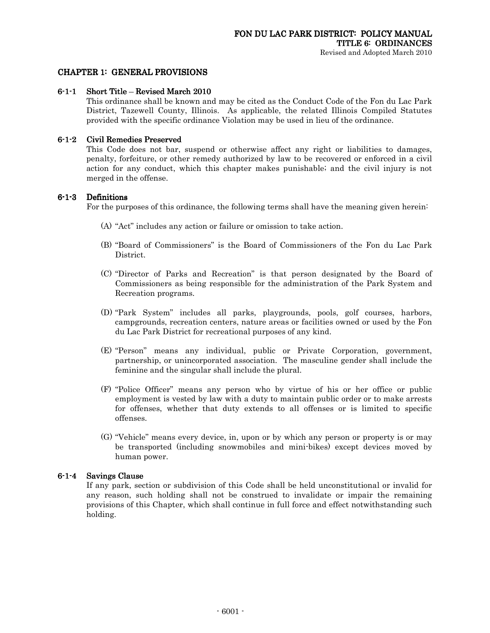### CHAPTER 1: GENERAL PROVISIONS

### $6-1-1$  Short Title – Revised March 2010

This ordinance shall be known and may be cited as the Conduct Code of the Fon du Lac Park District, Tazewell County, Illinois. As applicable, the related Illinois Compiled Statutes provided with the specific ordinance Violation may be used in lieu of the ordinance.

### 6-1-2 Civil Remedies Preserved

 This Code does not bar, suspend or otherwise affect any right or liabilities to damages, penalty, forfeiture, or other remedy authorized by law to be recovered or enforced in a civil action for any conduct, which this chapter makes punishable; and the civil injury is not merged in the offense.

### 6-1-3 Definitions

For the purposes of this ordinance, the following terms shall have the meaning given herein:

- (A) "Act" includes any action or failure or omission to take action.
- (B) "Board of Commissioners" is the Board of Commissioners of the Fon du Lac Park District.
- (C) "Director of Parks and Recreation" is that person designated by the Board of Commissioners as being responsible for the administration of the Park System and Recreation programs.
- (D) "Park System" includes all parks, playgrounds, pools, golf courses, harbors, campgrounds, recreation centers, nature areas or facilities owned or used by the Fon du Lac Park District for recreational purposes of any kind.
- (E) "Person" means any individual, public or Private Corporation, government, partnership, or unincorporated association. The masculine gender shall include the feminine and the singular shall include the plural.
- (F) "Police Officer" means any person who by virtue of his or her office or public employment is vested by law with a duty to maintain public order or to make arrests for offenses, whether that duty extends to all offenses or is limited to specific offenses.
- (G) "Vehicle" means every device, in, upon or by which any person or property is or may be transported (including snowmobiles and mini-bikes) except devices moved by human power.

### $6-1-4$  Savings Clause

If any park, section or subdivision of this Code shall be held unconstitutional or invalid for any reason, such holding shall not be construed to invalidate or impair the remaining provisions of this Chapter, which shall continue in full force and effect notwithstanding such holding.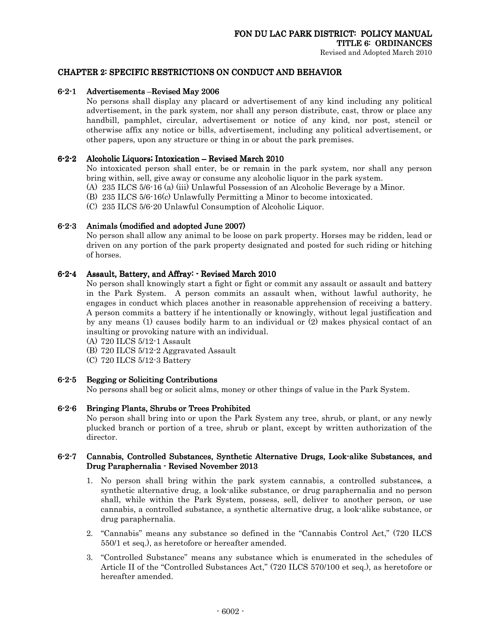### CHAPTER 2: SPECIFIC RESTRICTIONS ON CONDUCT AND BEHAVIOR

### 6-2-1 Advertisements – Revised May 2006

No persons shall display any placard or advertisement of any kind including any political advertisement, in the park system, nor shall any person distribute, cast, throw or place any handbill, pamphlet, circular, advertisement or notice of any kind, nor post, stencil or otherwise affix any notice or bills, advertisement, including any political advertisement, or other papers, upon any structure or thing in or about the park premises.

### 6-2-2 Alcoholic Liquors; Intoxication – Revised March 2010

No intoxicated person shall enter, be or remain in the park system, nor shall any person bring within, sell, give away or consume any alcoholic liquor in the park system.

- (A) 235 ILCS 5/6-16 (a) (iii) Unlawful Possession of an Alcoholic Beverage by a Minor.
- (B) 235 ILCS 5/6-16(c) Unlawfully Permitting a Minor to become intoxicated.
- (C) 235 ILCS 5/6-20 Unlawful Consumption of Alcoholic Liquor.

### $6-2-3$  Animals (modified and adopted June 2007)

No person shall allow any animal to be loose on park property. Horses may be ridden, lead or driven on any portion of the park property designated and posted for such riding or hitching of horses.

### 6-2-4 Assault, Battery, and Affray: - Revised March 2010

No person shall knowingly start a fight or fight or commit any assault or assault and battery in the Park System. A person commits an assault when, without lawful authority, he engages in conduct which places another in reasonable apprehension of receiving a battery. A person commits a battery if he intentionally or knowingly, without legal justification and by any means (1) causes bodily harm to an individual or (2) makes physical contact of an insulting or provoking nature with an individual.

- (A) 720 ILCS 5/12-1 Assault
- (B) 720 ILCS 5/12-2 Aggravated Assault
- (C) 720 ILCS 5/12-3 Battery

### 6-2-5 Begging or Soliciting Contributions

No persons shall beg or solicit alms, money or other things of value in the Park System.

### 6-2-6 Bringing Plants, Shrubs or Trees Prohibited

No person shall bring into or upon the Park System any tree, shrub, or plant, or any newly plucked branch or portion of a tree, shrub or plant, except by written authorization of the director.

### 6-2-7 Cannabis, Controlled Substances, Synthetic Alternative Drugs, Look-alike Substances, and Drug Paraphernalia - Revised November 2013

- 1. No person shall bring within the park system cannabis, a controlled substances, a synthetic alternative drug, a look-alike substance, or drug paraphernalia and no person shall, while within the Park System, possess, sell, deliver to another person, or use cannabis, a controlled substance, a synthetic alternative drug, a look-alike substance, or drug paraphernalia.
- 2. "Cannabis" means any substance so defined in the "Cannabis Control Act," (720 ILCS 550/1 et seq.), as heretofore or hereafter amended.
- 3. "Controlled Substance" means any substance which is enumerated in the schedules of Article II of the "Controlled Substances Act," (720 ILCS 570/100 et seq.), as heretofore or hereafter amended.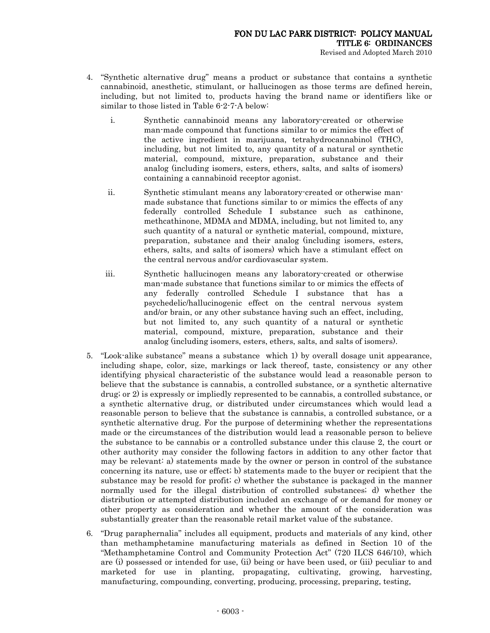- 4. "Synthetic alternative drug" means a product or substance that contains a synthetic cannabinoid, anesthetic, stimulant, or hallucinogen as those terms are defined herein, including, but not limited to, products having the brand name or identifiers like or similar to those listed in Table 6-2-7-A below:
	- i. Synthetic cannabinoid means any laboratory-created or otherwise man-made compound that functions similar to or mimics the effect of the active ingredient in marijuana, tetrahydrocannabinol (THC), including, but not limited to, any quantity of a natural or synthetic material, compound, mixture, preparation, substance and their analog (including isomers, esters, ethers, salts, and salts of isomers) containing a cannabinoid receptor agonist.
	- ii. Synthetic stimulant means any laboratory-created or otherwise manmade substance that functions similar to or mimics the effects of any federally controlled Schedule I substance such as cathinone, methcathinone, MDMA and MDMA, including, but not limited to, any such quantity of a natural or synthetic material, compound, mixture, preparation, substance and their analog (including isomers, esters, ethers, salts, and salts of isomers) which have a stimulant effect on the central nervous and/or cardiovascular system.
	- iii. Synthetic hallucinogen means any laboratory-created or otherwise man-made substance that functions similar to or mimics the effects of any federally controlled Schedule I substance that has a psychedelic/hallucinogenic effect on the central nervous system and/or brain, or any other substance having such an effect, including, but not limited to, any such quantity of a natural or synthetic material, compound, mixture, preparation, substance and their analog (including isomers, esters, ethers, salts, and salts of isomers).
- 5. "Look-alike substance" means a substance which 1) by overall dosage unit appearance, including shape, color, size, markings or lack thereof, taste, consistency or any other identifying physical characteristic of the substance would lead a reasonable person to believe that the substance is cannabis, a controlled substance, or a synthetic alternative drug; or 2) is expressly or impliedly represented to be cannabis, a controlled substance, or a synthetic alternative drug, or distributed under circumstances which would lead a reasonable person to believe that the substance is cannabis, a controlled substance, or a synthetic alternative drug. For the purpose of determining whether the representations made or the circumstances of the distribution would lead a reasonable person to believe the substance to be cannabis or a controlled substance under this clause 2, the court or other authority may consider the following factors in addition to any other factor that may be relevant: a) statements made by the owner or person in control of the substance concerning its nature, use or effect; b) statements made to the buyer or recipient that the substance may be resold for profit; c) whether the substance is packaged in the manner normally used for the illegal distribution of controlled substances; d) whether the distribution or attempted distribution included an exchange of or demand for money or other property as consideration and whether the amount of the consideration was substantially greater than the reasonable retail market value of the substance.
- 6. "Drug paraphernalia" includes all equipment, products and materials of any kind, other than methamphetamine manufacturing materials as defined in Section 10 of the "Methamphetamine Control and Community Protection Act" (720 ILCS 646/10), which are (i) possessed or intended for use, (ii) being or have been used, or (iii) peculiar to and marketed for use in planting, propagating, cultivating, growing, harvesting, manufacturing, compounding, converting, producing, processing, preparing, testing,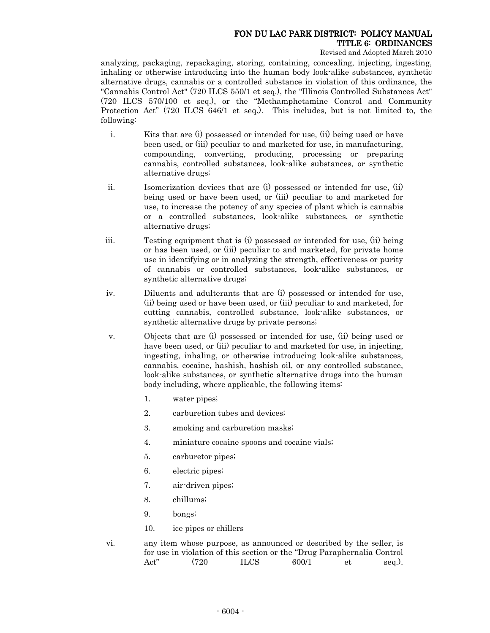Revised and Adopted March 2010

analyzing, packaging, repackaging, storing, containing, concealing, injecting, ingesting, inhaling or otherwise introducing into the human body look-alike substances, synthetic alternative drugs, cannabis or a controlled substance in violation of this ordinance, the "Cannabis Control Act" (720 ILCS 550/1 et seq.), the "Illinois Controlled Substances Act" (720 ILCS 570/100 et seq.), or the "Methamphetamine Control and Community Protection Act" (720 ILCS 646/1 et seq.). This includes, but is not limited to, the following:

- i. Kits that are (i) possessed or intended for use, (ii) being used or have been used, or (iii) peculiar to and marketed for use, in manufacturing, compounding, converting, producing, processing or preparing cannabis, controlled substances, look-alike substances, or synthetic alternative drugs;
- ii. Isomerization devices that are (i) possessed or intended for use, (ii) being used or have been used, or (iii) peculiar to and marketed for use, to increase the potency of any species of plant which is cannabis or a controlled substances, look-alike substances, or synthetic alternative drugs;
- iii. Testing equipment that is (i) possessed or intended for use, (ii) being or has been used, or (iii) peculiar to and marketed, for private home use in identifying or in analyzing the strength, effectiveness or purity of cannabis or controlled substances, look-alike substances, or synthetic alternative drugs;
- iv. Diluents and adulterants that are (i) possessed or intended for use, (ii) being used or have been used, or (iii) peculiar to and marketed, for cutting cannabis, controlled substance, look-alike substances, or synthetic alternative drugs by private persons;
- v. Objects that are (i) possessed or intended for use, (ii) being used or have been used, or (iii) peculiar to and marketed for use, in injecting, ingesting, inhaling, or otherwise introducing look-alike substances, cannabis, cocaine, hashish, hashish oil, or any controlled substance, look-alike substances, or synthetic alternative drugs into the human body including, where applicable, the following items:
	- 1. water pipes;
	- 2. carburetion tubes and devices;
	- 3. smoking and carburetion masks;
	- 4. miniature cocaine spoons and cocaine vials;
	- 5. carburetor pipes;
	- 6. electric pipes;
	- 7. air-driven pipes;
	- 8. chillums;
	- 9. bongs;
	- 10. ice pipes or chillers
- vi. any item whose purpose, as announced or described by the seller, is for use in violation of this section or the "Drug Paraphernalia Control Act" (720 ILCS 600/1 et seq.).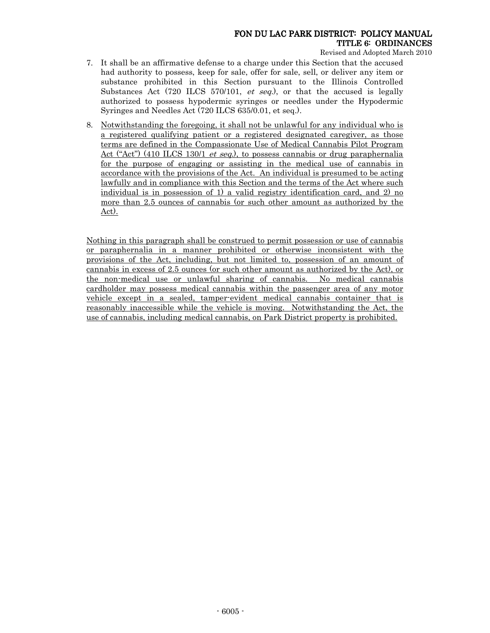Revised and Adopted March 2010

- 7. It shall be an affirmative defense to a charge under this Section that the accused had authority to possess, keep for sale, offer for sale, sell, or deliver any item or substance prohibited in this Section pursuant to the Illinois Controlled Substances Act (720 ILCS 570/101, et seq.), or that the accused is legally authorized to possess hypodermic syringes or needles under the Hypodermic Syringes and Needles Act (720 ILCS 635/0.01, et seq.).
- 8. Notwithstanding the foregoing, it shall not be unlawful for any individual who is a registered qualifying patient or a registered designated caregiver, as those terms are defined in the Compassionate Use of Medical Cannabis Pilot Program Act ("Act") (410 ILCS 130/1 *et seq.*), to possess cannabis or drug paraphernalia for the purpose of engaging or assisting in the medical use of cannabis in accordance with the provisions of the Act. An individual is presumed to be acting lawfully and in compliance with this Section and the terms of the Act where such individual is in possession of 1) a valid registry identification card, and 2) no more than 2.5 ounces of cannabis (or such other amount as authorized by the Act).

Nothing in this paragraph shall be construed to permit possession or use of cannabis or paraphernalia in a manner prohibited or otherwise inconsistent with the provisions of the Act, including, but not limited to, possession of an amount of cannabis in excess of 2.5 ounces (or such other amount as authorized by the Act), or the non-medical use or unlawful sharing of cannabis. No medical cannabis cardholder may possess medical cannabis within the passenger area of any motor vehicle except in a sealed, tamper-evident medical cannabis container that is reasonably inaccessible while the vehicle is moving. Notwithstanding the Act, the use of cannabis, including medical cannabis, on Park District property is prohibited.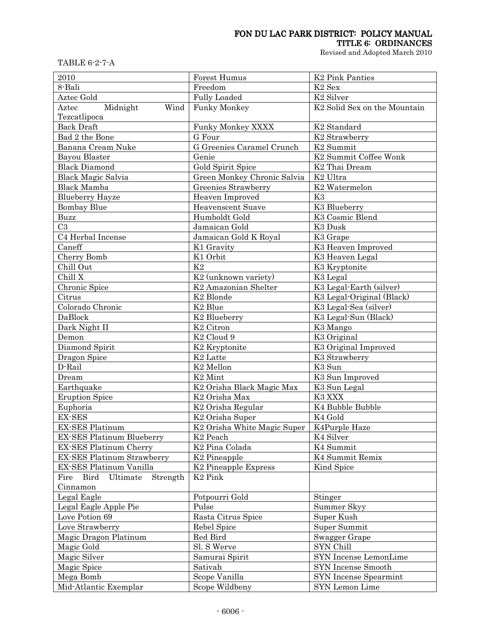# FON DU LAC PARK DISTRICT: POLICY MANUAL

TITLE 6: ORDINANCES

Revised and Adopted March 2010

TABLE 6-2-7-A

| 2010                              | Forest Humus                                | <b>K2 Pink Panties</b>                   |  |  |
|-----------------------------------|---------------------------------------------|------------------------------------------|--|--|
| 8-Bali                            | Freedom                                     | K <sub>2</sub> Sex                       |  |  |
| Aztec Gold                        | Fully Loaded                                | K <sub>2</sub> Silver                    |  |  |
| Midnight<br>Wind<br>Aztec         | <b>Funky Monkey</b>                         | K <sub>2</sub> Solid Sex on the Mountain |  |  |
| Tezcatlipoca                      |                                             |                                          |  |  |
| <b>Back Draft</b>                 | Funky Monkey XXXX                           | K <sub>2</sub> Standard                  |  |  |
| Bad 2 the Bone                    | G Four                                      | K <sub>2</sub> Strawberry                |  |  |
| Banana Cream Nuke                 | G Greenies Caramel Crunch                   | $\overline{\text{K}}2$ Summit            |  |  |
| Bayou Blaster                     | Genie                                       | K <sub>2</sub> Summit Coffee Wonk        |  |  |
| <b>Black Diamond</b>              | Gold Spirit Spice                           | K <sub>2</sub> Thai Dream                |  |  |
| <b>Black Magic Salvia</b>         | Green Monkey Chronic Salvia                 | K <sub>2</sub> Ultra                     |  |  |
| <b>Black Mamba</b>                | Greenies Strawberry                         | K <sub>2</sub> Watermelon                |  |  |
| <b>Blueberry Hayze</b>            | Heaven Improved                             | K3                                       |  |  |
| <b>Bombay Blue</b>                | <b>Heavenscent Suave</b>                    | K3 Blueberry                             |  |  |
| Buzz                              | Humboldt Gold                               | K3 Cosmic Blend                          |  |  |
| C <sub>3</sub>                    | Jamaican Gold                               | K3 Dusk                                  |  |  |
| C4 Herbal Incense                 | Jamaican Gold K Royal                       | K3 Grape                                 |  |  |
| Caneff                            | K1 Gravity                                  | K3 Heaven Improved                       |  |  |
| Cherry Bomb                       | K1 Orbit                                    | K3 Heaven Legal                          |  |  |
| Chill Out                         | K2                                          | K3 Kryptonite                            |  |  |
| Chill X                           | K <sub>2</sub> (unknown variety)            | K3 Legal                                 |  |  |
| Chronic Spice                     | K <sub>2</sub> Amazonian Shelter            | K3 Legal-Earth (silver)                  |  |  |
| Citrus                            | K <sub>2</sub> Blonde                       | K3 Legal-Original (Black)                |  |  |
| Colorado Chronic                  | K <sub>2</sub> Blue                         | K3 Legal-Sea (silver)                    |  |  |
| DaBlock                           | K <sub>2</sub> Blueberry                    | K3 Legal-Sun (Black)                     |  |  |
| Dark Night II                     | K <sub>2</sub> Citron                       | K3 Mango                                 |  |  |
| Demon                             | K <sub>2</sub> Cloud 9                      | K3 Original                              |  |  |
| Diamond Spirit                    | K <sub>2</sub> Kryptonite                   | K3 Original Improved                     |  |  |
| Dragon Spice                      | K <sub>2</sub> Latte                        | K3 Strawberry                            |  |  |
| D-Rail                            | K <sub>2</sub> Mellon                       | K3 Sun                                   |  |  |
| Dream                             | K <sub>2</sub> Mint                         | K3 Sun Improved                          |  |  |
| Earthquake                        | K2 Orisha Black Magic Max                   | K3 Sun Legal                             |  |  |
| <b>Eruption Spice</b>             | K <sub>2</sub> Orisha Max                   | K3 XXX                                   |  |  |
| Euphoria                          | K <sub>2</sub> Orisha Regular               | K4 Bubble Bubble                         |  |  |
| <b>EX-SES</b>                     | K <sub>2</sub> Orisha Super                 | K <sub>4</sub> Gold                      |  |  |
| EX-SES Platinum                   | K2 Orisha White Magic Super   K4Purple Haze |                                          |  |  |
| EX-SES Platinum Blueberry         | K <sub>2</sub> Peach                        | K <sub>4</sub> Silver                    |  |  |
| EX-SES Platinum Cherry            | K <sub>2</sub> Pina Colada                  | K4 Summit                                |  |  |
| <b>EX-SES Platinum Strawberry</b> | K <sub>2</sub> Pineapple                    | K4 Summit Remix                          |  |  |
| EX-SES Platinum Vanilla           | K <sub>2</sub> Pineapple Express            | Kind Spice                               |  |  |
| Fire Bird<br>Ultimate<br>Strength | K <sub>2</sub> Pink                         |                                          |  |  |
| Cinnamon                          |                                             |                                          |  |  |
| Legal Eagle                       | Potpourri Gold                              | Stinger                                  |  |  |
| Legal Eagle Apple Pie             | Pulse                                       | Summer Skyy                              |  |  |
| Love Potion 69                    | Rasta Citrus Spice                          | Super Kush                               |  |  |
| Love Strawberry                   | Rebel Spice                                 | Super Summit                             |  |  |
| Magic Dragon Platinum             | Red Bird                                    | Swagger Grape                            |  |  |
| Magic Gold                        | Sl. S Werve                                 | SYN Chill                                |  |  |
| Magic Silver                      | Samurai Spirit                              | SYN Incense LemonLime                    |  |  |
| Magic Spice                       | Sativah                                     | SYN Incense Smooth                       |  |  |
| Mega Bomb                         | Scope Vanilla                               | SYN Incense Spearmint                    |  |  |
| Mid-Atlantic Exemplar             | Scope Wildbeny                              | SYN Lemon Lime                           |  |  |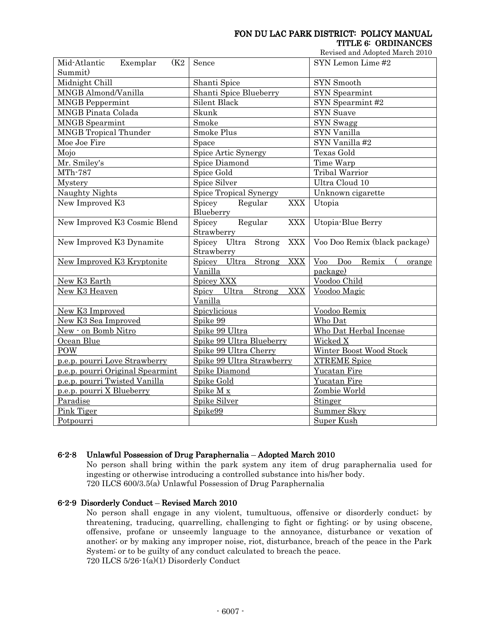Revised and Adopted March 2010

| Mid-Atlantic<br>(K <sub>2</sub><br>Exemplar<br>Summit) | Sence                                              | SYN Lemon Lime #2             |  |  |  |
|--------------------------------------------------------|----------------------------------------------------|-------------------------------|--|--|--|
| Midnight Chill                                         | Shanti Spice                                       | SYN Smooth                    |  |  |  |
| MNGB Almond/Vanilla                                    | Shanti Spice Blueberry                             | SYN Spearmint                 |  |  |  |
| <b>MNGB</b> Peppermint                                 | Silent Black                                       | SYN Spearmint #2              |  |  |  |
| <b>MNGB</b> Pinata Colada                              | Skunk                                              | <b>SYN Suave</b>              |  |  |  |
| <b>MNGB</b> Spearmint                                  | Smoke                                              | SYN Swagg                     |  |  |  |
| <b>MNGB</b> Tropical Thunder                           | Smoke Plus                                         | SYN Vanilla                   |  |  |  |
| Moe Joe Fire                                           | Space                                              | SYN Vanilla #2                |  |  |  |
| Mojo                                                   | Spice Artic Synergy                                | Texas Gold                    |  |  |  |
| Mr. Smiley's                                           | Spice Diamond                                      | Time Warp                     |  |  |  |
| MTh-787                                                | Spice Gold                                         | <b>Tribal Warrior</b>         |  |  |  |
| Mystery                                                | Spice Silver                                       | Ultra Cloud 10                |  |  |  |
| Naughty Nights                                         | Spice Tropical Synergy                             | Unknown cigarette             |  |  |  |
| New Improved K3                                        | Spicey<br>Regular<br><b>XXX</b><br>Blueberry       | Utopia                        |  |  |  |
| New Improved K3 Cosmic Blend                           | Spicey<br>Regular<br><b>XXX</b><br>Strawberry      | Utopia-Blue Berry             |  |  |  |
| New Improved K3 Dynamite                               | Spicey Ultra<br>Strong<br><b>XXX</b><br>Strawberry | Voo Doo Remix (black package) |  |  |  |
| New Improved K3 Kryptonite                             | Strong<br>Spicey Ultra<br><b>XXX</b>               | $V$ 00 Doo<br>Remix<br>orange |  |  |  |
|                                                        | Vanilla                                            | package)                      |  |  |  |
| New K3 Earth                                           | Spicey XXX                                         | Voodoo Child                  |  |  |  |
| New K3 Heaven                                          | Strong<br>Spicy Ultra<br><b>XXX</b><br>Vanilla     | Voodoo Magic                  |  |  |  |
| New K3 Improved                                        | Spicylicious                                       | Voodoo Remix                  |  |  |  |
| New K3 Sea Improved                                    | Spike 99                                           | Who Dat                       |  |  |  |
| New - on Bomb Nitro                                    | Spike 99 Ultra<br>Who Dat Herbal Incense           |                               |  |  |  |
| Ocean Blue                                             | Spike 99 Ultra Blueberry                           | Wicked X                      |  |  |  |
| POW                                                    | Spike 99 Ultra Cherry                              | Winter Boost Wood Stock       |  |  |  |
| p.e.p. pourri Love Strawberry                          | Spike 99 Ultra Strawberry                          | <b>XTREME Spice</b>           |  |  |  |
| p.e.p. pourri Original Spearmint                       | Spike Diamond                                      | Yucatan Fire                  |  |  |  |
| p.e.p. pourri Twisted Vanilla                          | Spike Gold                                         | Yucatan Fire                  |  |  |  |
| p.e.p. pourri X Blueberry                              | Spike M x                                          | Zombie World                  |  |  |  |
| Paradise                                               | Spike Silver                                       | Stinger                       |  |  |  |
| Pink Tiger                                             | Summer Skyy<br>Spike99                             |                               |  |  |  |
| Potpourri                                              | <b>Super Kush</b>                                  |                               |  |  |  |

### 6-2-8 Unlawful Possession of Drug Paraphernalia – Adopted March 2010

No person shall bring within the park system any item of drug paraphernalia used for ingesting or otherwise introducing a controlled substance into his/her body. 720 ILCS 600/3.5(a) Unlawful Possession of Drug Paraphernalia

### 6-2-9 Disorderly Conduct - Revised March 2010

No person shall engage in any violent, tumultuous, offensive or disorderly conduct; by threatening, traducing, quarrelling, challenging to fight or fighting; or by using obscene, offensive, profane or unseemly language to the annoyance, disturbance or vexation of another; or by making any improper noise, riot, disturbance, breach of the peace in the Park System; or to be guilty of any conduct calculated to breach the peace. 720 ILCS 5/26-1(a)(1) Disorderly Conduct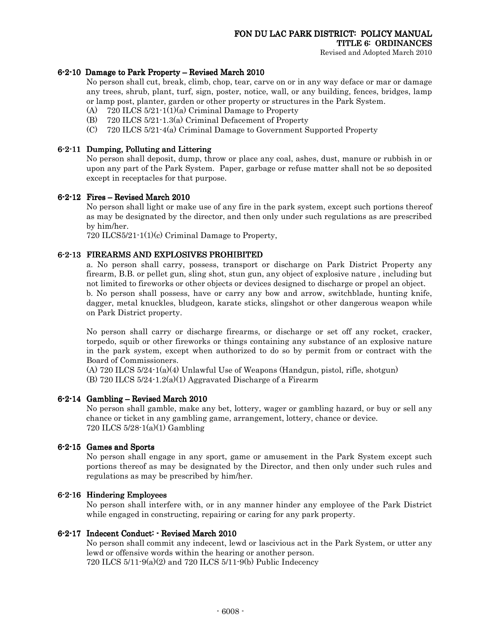### $6-2-10$  Damage to Park Property – Revised March 2010

No person shall cut, break, climb, chop, tear, carve on or in any way deface or mar or damage any trees, shrub, plant, turf, sign, poster, notice, wall, or any building, fences, bridges, lamp or lamp post, planter, garden or other property or structures in the Park System.

- (A) 720 ILCS 5/21-1(1)(a) Criminal Damage to Property
- (B) 720 ILCS 5/21-1.3(a) Criminal Defacement of Property
- (C) 720 ILCS 5/21-4(a) Criminal Damage to Government Supported Property

### 6-2-11 Dumping, Polluting and Littering and Littering

No person shall deposit, dump, throw or place any coal, ashes, dust, manure or rubbish in or upon any part of the Park System. Paper, garbage or refuse matter shall not be so deposited except in receptacles for that purpose.

#### $6-2-12$  Fires – Revised March 2010

No person shall light or make use of any fire in the park system, except such portions thereof as may be designated by the director, and then only under such regulations as are prescribed by him/her.

720 ILCS5/21-1(1)(c) Criminal Damage to Property,

#### 6-2-13 FIREARMS AND EXPLOSIVES PROHIBITED

a. No person shall carry, possess, transport or discharge on Park District Property any firearm, B.B. or pellet gun, sling shot, stun gun, any object of explosive nature , including but not limited to fireworks or other objects or devices designed to discharge or propel an object. b. No person shall possess, have or carry any bow and arrow, switchblade, hunting knife, dagger, metal knuckles, bludgeon, karate sticks, slingshot or other dangerous weapon while on Park District property.

No person shall carry or discharge firearms, or discharge or set off any rocket, cracker, torpedo, squib or other fireworks or things containing any substance of an explosive nature in the park system, except when authorized to do so by permit from or contract with the Board of Commissioners.

(A) 720 ILCS 5/24-1(a)(4) Unlawful Use of Weapons (Handgun, pistol, rifle, shotgun)  $(B)$  720 ILCS 5/24-1.2(a)(1) Aggravated Discharge of a Firearm

### $6-2-14$  Gambling – Revised March 2010

No person shall gamble, make any bet, lottery, wager or gambling hazard, or buy or sell any chance or ticket in any gambling game, arrangement, lottery, chance or device. 720 ILCS 5/28-1(a)(1) Gambling

### 6-2-15 Games and Sports

No person shall engage in any sport, game or amusement in the Park System except such portions thereof as may be designated by the Director, and then only under such rules and regulations as may be prescribed by him/her.

#### $6-2-16$  Hindering Employees

No person shall interfere with, or in any manner hinder any employee of the Park District while engaged in constructing, repairing or caring for any park property.

#### 6-2-17 Indecent Conduct: - Revised March 2010

No person shall commit any indecent, lewd or lascivious act in the Park System, or utter any lewd or offensive words within the hearing or another person. 720 ILCS 5/11-9(a)(2) and 720 ILCS 5/11-9(b) Public Indecency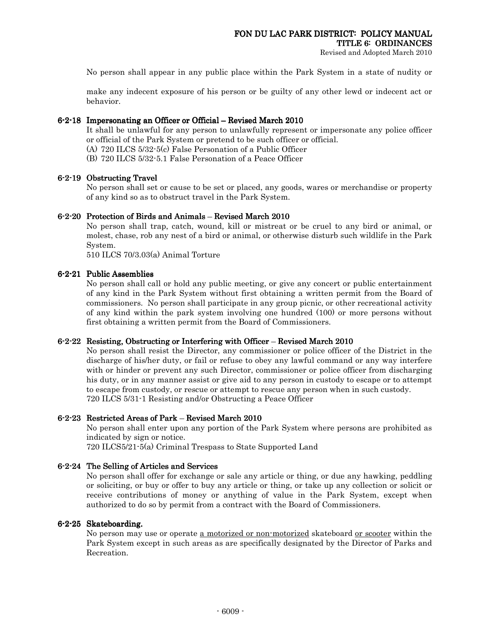Revised and Adopted March 2010

No person shall appear in any public place within the Park System in a state of nudity or

make any indecent exposure of his person or be guilty of any other lewd or indecent act or behavior.

#### $6-2-18$  Impersonating an Officer or Official – Revised March 2010

It shall be unlawful for any person to unlawfully represent or impersonate any police officer or official of the Park System or pretend to be such officer or official.

(A) 720 ILCS 5/32-5(c) False Personation of a Public Officer

(B) 720 ILCS 5/32-5.1 False Personation of a Peace Officer

#### 6-2-19 Obstructing Travel

No person shall set or cause to be set or placed, any goods, wares or merchandise or property of any kind so as to obstruct travel in the Park System.

#### $6-2-20$  Protection of Birds and Animals – Revised March 2010

No person shall trap, catch, wound, kill or mistreat or be cruel to any bird or animal, or molest, chase, rob any nest of a bird or animal, or otherwise disturb such wildlife in the Park System.

510 ILCS 70/3.03(a) Animal Torture

#### 6-2-21 Public Assemblies

No person shall call or hold any public meeting, or give any concert or public entertainment of any kind in the Park System without first obtaining a written permit from the Board of commissioners. No person shall participate in any group picnic, or other recreational activity of any kind within the park system involving one hundred (100) or more persons without first obtaining a written permit from the Board of Commissioners.

#### 6-2-22 Resisting, Obstructing or Interfering with Officer – Revised March 2010

No person shall resist the Director, any commissioner or police officer of the District in the discharge of his/her duty, or fail or refuse to obey any lawful command or any way interfere with or hinder or prevent any such Director, commissioner or police officer from discharging his duty, or in any manner assist or give aid to any person in custody to escape or to attempt to escape from custody, or rescue or attempt to rescue any person when in such custody. 720 ILCS 5/31-1 Resisting and/or Obstructing a Peace Officer

### 6-2-23 Restricted Areas of Park – Revised March 2010

No person shall enter upon any portion of the Park System where persons are prohibited as indicated by sign or notice.

720 ILCS5/21-5(a) Criminal Trespass to State Supported Land

### 6-2-24 The Selling of Articles and Services

No person shall offer for exchange or sale any article or thing, or due any hawking, peddling or soliciting, or buy or offer to buy any article or thing, or take up any collection or solicit or receive contributions of money or anything of value in the Park System, except when authorized to do so by permit from a contract with the Board of Commissioners.

#### 6-2-25 Skateboarding.

No person may use or operate <u>a motorized or non-motorized</u> skateboard <u>or scooter</u> within the Park System except in such areas as are specifically designated by the Director of Parks and Recreation.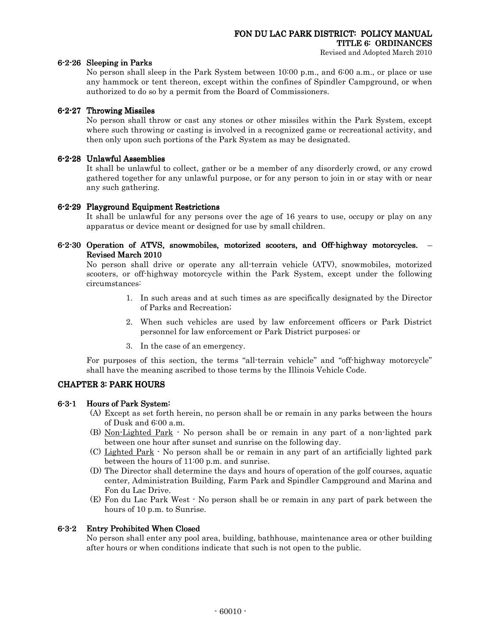#### 6-2-26 Sleeping in Parks

No person shall sleep in the Park System between 10:00 p.m., and 6:00 a.m., or place or use any hammock or tent thereon, except within the confines of Spindler Campground, or when authorized to do so by a permit from the Board of Commissioners.

### 6-2-27 Throwing Missiles

No person shall throw or cast any stones or other missiles within the Park System, except where such throwing or casting is involved in a recognized game or recreational activity, and then only upon such portions of the Park System as may be designated.

### 6-2-28 Unlawful Assemblies

It shall be unlawful to collect, gather or be a member of any disorderly crowd, or any crowd gathered together for any unlawful purpose, or for any person to join in or stay with or near any such gathering.

### 6-2-29 Playground Equipment Restrictions

It shall be unlawful for any persons over the age of 16 years to use, occupy or play on any apparatus or device meant or designed for use by small children.

### 6-2-30 Operation of ATVS, snowmobiles, motorized scooters, and Off-highway motorcycles. -Revised March 2010

No person shall drive or operate any all-terrain vehicle (ATV), snowmobiles, motorized scooters, or off-highway motorcycle within the Park System, except under the following circumstances:

- 1. In such areas and at such times as are specifically designated by the Director of Parks and Recreation;
- 2. When such vehicles are used by law enforcement officers or Park District personnel for law enforcement or Park District purposes; or
- 3. In the case of an emergency.

For purposes of this section, the terms "all-terrain vehicle" and "off-highway motorcycle" shall have the meaning ascribed to those terms by the Illinois Vehicle Code.

### **CHAPTER 3: PARK HOURS**

### 6-3-1 Hours of Park System:

- (A) Except as set forth herein, no person shall be or remain in any parks between the hours of Dusk and 6:00 a.m.
- (B) Non-Lighted Park No person shall be or remain in any part of a non-lighted park between one hour after sunset and sunrise on the following day.
- (C) Lighted Park No person shall be or remain in any part of an artificially lighted park between the hours of 11:00 p.m. and sunrise.
- (D) The Director shall determine the days and hours of operation of the golf courses, aquatic center, Administration Building, Farm Park and Spindler Campground and Marina and Fon du Lac Drive.
- (E) Fon du Lac Park West No person shall be or remain in any part of park between the hours of 10 p.m. to Sunrise.

### 6-3-2 Entry Prohibited When Closed

No person shall enter any pool area, building, bathhouse, maintenance area or other building after hours or when conditions indicate that such is not open to the public.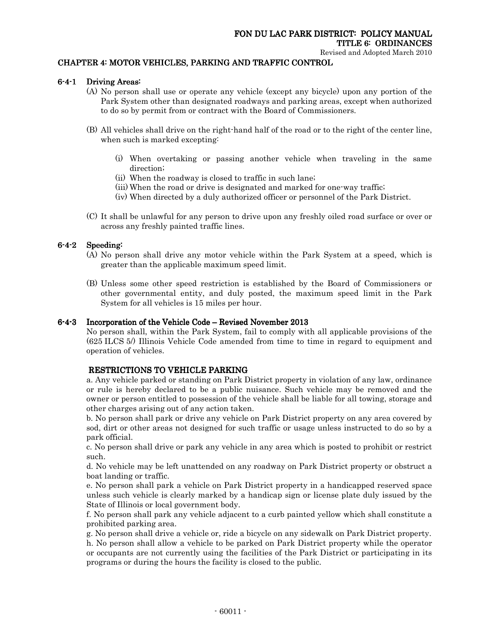### CHAPTER 4: MOTOR VEHICLES, PARKING AND TRAFFIC CONTROL

### 6-4-1 Driving Areas:

- (A) No person shall use or operate any vehicle (except any bicycle) upon any portion of the Park System other than designated roadways and parking areas, except when authorized to do so by permit from or contract with the Board of Commissioners.
- (B) All vehicles shall drive on the right-hand half of the road or to the right of the center line, when such is marked excepting:
	- (i) When overtaking or passing another vehicle when traveling in the same direction;
	- (ii) When the roadway is closed to traffic in such lane;
	- (iii) When the road or drive is designated and marked for one-way traffic;
	- (iv) When directed by a duly authorized officer or personnel of the Park District.
- (C) It shall be unlawful for any person to drive upon any freshly oiled road surface or over or across any freshly painted traffic lines.

### 6-4-2 Speeding:

- (A) No person shall drive any motor vehicle within the Park System at a speed, which is greater than the applicable maximum speed limit.
- (B) Unless some other speed restriction is established by the Board of Commissioners or other governmental entity, and duly posted, the maximum speed limit in the Park System for all vehicles is 15 miles per hour.

### $6-4-3$  Incorporation of the Vehicle Code – Revised November 2013

No person shall, within the Park System, fail to comply with all applicable provisions of the (625 ILCS 5/) Illinois Vehicle Code amended from time to time in regard to equipment and operation of vehicles.

### RESTRICTIONS TO VEHICLE PARKING

a. Any vehicle parked or standing on Park District property in violation of any law, ordinance or rule is hereby declared to be a public nuisance. Such vehicle may be removed and the owner or person entitled to possession of the vehicle shall be liable for all towing, storage and other charges arising out of any action taken.

b. No person shall park or drive any vehicle on Park District property on any area covered by sod, dirt or other areas not designed for such traffic or usage unless instructed to do so by a park official.

c. No person shall drive or park any vehicle in any area which is posted to prohibit or restrict such.

d. No vehicle may be left unattended on any roadway on Park District property or obstruct a boat landing or traffic.

e. No person shall park a vehicle on Park District property in a handicapped reserved space unless such vehicle is clearly marked by a handicap sign or license plate duly issued by the State of Illinois or local government body.

f. No person shall park any vehicle adjacent to a curb painted yellow which shall constitute a prohibited parking area.

g. No person shall drive a vehicle or, ride a bicycle on any sidewalk on Park District property. h. No person shall allow a vehicle to be parked on Park District property while the operator or occupants are not currently using the facilities of the Park District or participating in its programs or during the hours the facility is closed to the public.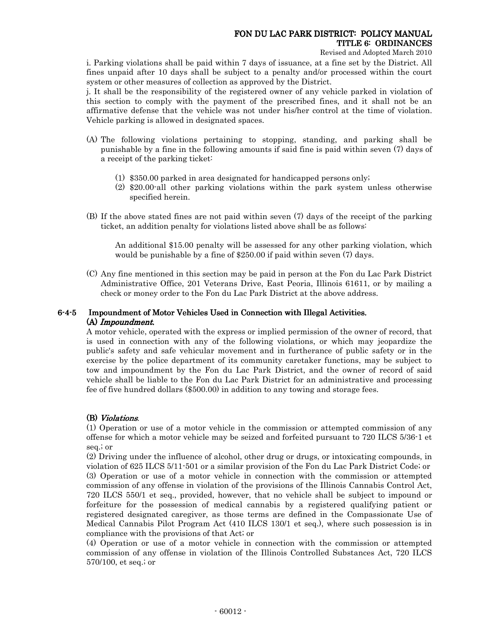Revised and Adopted March 2010

i. Parking violations shall be paid within 7 days of issuance, at a fine set by the District. All fines unpaid after 10 days shall be subject to a penalty and/or processed within the court system or other measures of collection as approved by the District.

j. It shall be the responsibility of the registered owner of any vehicle parked in violation of this section to comply with the payment of the prescribed fines, and it shall not be an affirmative defense that the vehicle was not under his/her control at the time of violation. Vehicle parking is allowed in designated spaces.

- (A) The following violations pertaining to stopping, standing, and parking shall be punishable by a fine in the following amounts if said fine is paid within seven (7) days of a receipt of the parking ticket:
	- (1) \$350.00 parked in area designated for handicapped persons only;
	- (2) \$20.00-all other parking violations within the park system unless otherwise specified herein.
- (B) If the above stated fines are not paid within seven (7) days of the receipt of the parking ticket, an addition penalty for violations listed above shall be as follows:

An additional \$15.00 penalty will be assessed for any other parking violation, which would be punishable by a fine of \$250.00 if paid within seven (7) days.

(C) Any fine mentioned in this section may be paid in person at the Fon du Lac Park District Administrative Office, 201 Veterans Drive, East Peoria, Illinois 61611, or by mailing a check or money order to the Fon du Lac Park District at the above address.

### 6-4-5 Impoundment of Motor Vehicles Used in Connection with Illegal Activities. (A) Impoundment.

A motor vehicle, operated with the express or implied permission of the owner of record, that is used in connection with any of the following violations, or which may jeopardize the public's safety and safe vehicular movement and in furtherance of public safety or in the exercise by the police department of its community caretaker functions, may be subject to tow and impoundment by the Fon du Lac Park District, and the owner of record of said vehicle shall be liable to the Fon du Lac Park District for an administrative and processing fee of five hundred dollars (\$500.00) in addition to any towing and storage fees.

### (B) Violations.

(1) Operation or use of a motor vehicle in the commission or attempted commission of any offense for which a motor vehicle may be seized and forfeited pursuant to 720 ILCS 5/36-1 et seq.; or

(2) Driving under the influence of alcohol, other drug or drugs, or intoxicating compounds, in violation of 625 ILCS 5/11-501 or a similar provision of the Fon du Lac Park District Code; or (3) Operation or use of a motor vehicle in connection with the commission or attempted commission of any offense in violation of the provisions of the Illinois Cannabis Control Act, 720 ILCS 550/1 et seq., provided, however, that no vehicle shall be subject to impound or forfeiture for the possession of medical cannabis by a registered qualifying patient or registered designated caregiver, as those terms are defined in the Compassionate Use of Medical Cannabis Pilot Program Act (410 ILCS 130/1 et seq.), where such possession is in compliance with the provisions of that Act; or

(4) Operation or use of a motor vehicle in connection with the commission or attempted commission of any offense in violation of the Illinois Controlled Substances Act, 720 ILCS 570/100, et seq.; or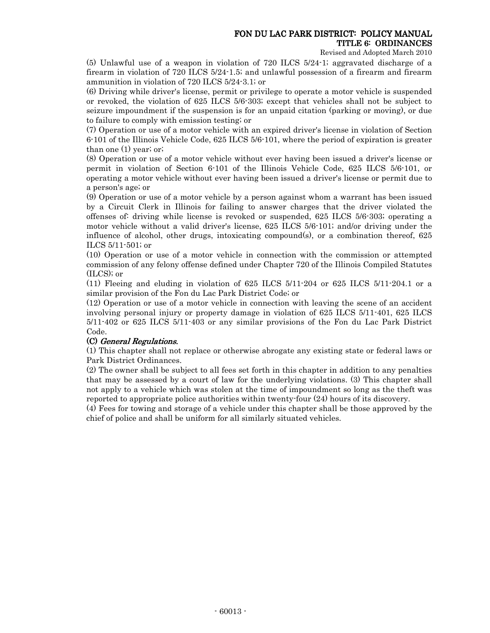Revised and Adopted March 2010

(5) Unlawful use of a weapon in violation of 720 ILCS 5/24-1; aggravated discharge of a firearm in violation of 720 ILCS 5/24-1.5; and unlawful possession of a firearm and firearm ammunition in violation of 720 ILCS 5/24-3.1; or

(6) Driving while driver's license, permit or privilege to operate a motor vehicle is suspended or revoked, the violation of 625 ILCS 5/6-303; except that vehicles shall not be subject to seizure impoundment if the suspension is for an unpaid citation (parking or moving), or due to failure to comply with emission testing; or

(7) Operation or use of a motor vehicle with an expired driver's license in violation of Section 6-101 of the Illinois Vehicle Code, 625 ILCS 5/6-101, where the period of expiration is greater than one (1) year; or;

(8) Operation or use of a motor vehicle without ever having been issued a driver's license or permit in violation of Section 6-101 of the Illinois Vehicle Code, 625 ILCS 5/6-101, or operating a motor vehicle without ever having been issued a driver's license or permit due to a person's age; or

(9) Operation or use of a motor vehicle by a person against whom a warrant has been issued by a Circuit Clerk in Illinois for failing to answer charges that the driver violated the offenses of: driving while license is revoked or suspended, 625 ILCS 5/6-303; operating a motor vehicle without a valid driver's license, 625 ILCS 5/6-101; and/or driving under the influence of alcohol, other drugs, intoxicating compound(s), or a combination thereof, 625 ILCS 5/11-501; or

(10) Operation or use of a motor vehicle in connection with the commission or attempted commission of any felony offense defined under Chapter 720 of the Illinois Compiled Statutes (ILCS); or

 $(11)$  Fleeing and eluding in violation of 625 ILCS  $5/11-204$  or 625 ILCS  $5/11-204.1$  or a similar provision of the Fon du Lac Park District Code; or

(12) Operation or use of a motor vehicle in connection with leaving the scene of an accident involving personal injury or property damage in violation of 625 ILCS 5/11-401, 625 ILCS 5/11-402 or 625 ILCS 5/11-403 or any similar provisions of the Fon du Lac Park District Code.

### (C) General Regulations.

(1) This chapter shall not replace or otherwise abrogate any existing state or federal laws or Park District Ordinances.

(2) The owner shall be subject to all fees set forth in this chapter in addition to any penalties that may be assessed by a court of law for the underlying violations. (3) This chapter shall not apply to a vehicle which was stolen at the time of impoundment so long as the theft was reported to appropriate police authorities within twenty-four (24) hours of its discovery.

(4) Fees for towing and storage of a vehicle under this chapter shall be those approved by the chief of police and shall be uniform for all similarly situated vehicles.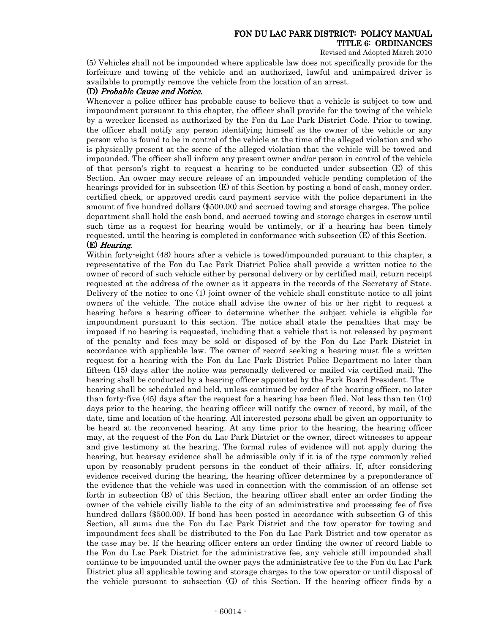Revised and Adopted March 2010

(5) Vehicles shall not be impounded where applicable law does not specifically provide for the forfeiture and towing of the vehicle and an authorized, lawful and unimpaired driver is available to promptly remove the vehicle from the location of an arrest.

### (D) Probable Cause and Notice.

Whenever a police officer has probable cause to believe that a vehicle is subject to tow and impoundment pursuant to this chapter, the officer shall provide for the towing of the vehicle by a wrecker licensed as authorized by the Fon du Lac Park District Code. Prior to towing, the officer shall notify any person identifying himself as the owner of the vehicle or any person who is found to be in control of the vehicle at the time of the alleged violation and who is physically present at the scene of the alleged violation that the vehicle will be towed and impounded. The officer shall inform any present owner and/or person in control of the vehicle of that person's right to request a hearing to be conducted under subsection (E) of this Section. An owner may secure release of an impounded vehicle pending completion of the hearings provided for in subsection (E) of this Section by posting a bond of cash, money order, certified check, or approved credit card payment service with the police department in the amount of five hundred dollars (\$500.00) and accrued towing and storage charges. The police department shall hold the cash bond, and accrued towing and storage charges in escrow until such time as a request for hearing would be untimely, or if a hearing has been timely requested, until the hearing is completed in conformance with subsection (E) of this Section.

#### (E) Hearing.

Within forty-eight (48) hours after a vehicle is towed/impounded pursuant to this chapter, a representative of the Fon du Lac Park District Police shall provide a written notice to the owner of record of such vehicle either by personal delivery or by certified mail, return receipt requested at the address of the owner as it appears in the records of the Secretary of State. Delivery of the notice to one (1) joint owner of the vehicle shall constitute notice to all joint owners of the vehicle. The notice shall advise the owner of his or her right to request a hearing before a hearing officer to determine whether the subject vehicle is eligible for impoundment pursuant to this section. The notice shall state the penalties that may be imposed if no hearing is requested, including that a vehicle that is not released by payment of the penalty and fees may be sold or disposed of by the Fon du Lac Park District in accordance with applicable law. The owner of record seeking a hearing must file a written request for a hearing with the Fon du Lac Park District Police Department no later than fifteen (15) days after the notice was personally delivered or mailed via certified mail. The hearing shall be conducted by a hearing officer appointed by the Park Board President. The hearing shall be scheduled and held, unless continued by order of the hearing officer, no later than forty-five (45) days after the request for a hearing has been filed. Not less than ten (10) days prior to the hearing, the hearing officer will notify the owner of record, by mail, of the date, time and location of the hearing. All interested persons shall be given an opportunity to be heard at the reconvened hearing. At any time prior to the hearing, the hearing officer may, at the request of the Fon du Lac Park District or the owner, direct witnesses to appear and give testimony at the hearing. The formal rules of evidence will not apply during the hearing, but hearsay evidence shall be admissible only if it is of the type commonly relied upon by reasonably prudent persons in the conduct of their affairs. If, after considering evidence received during the hearing, the hearing officer determines by a preponderance of the evidence that the vehicle was used in connection with the commission of an offense set forth in subsection (B) of this Section, the hearing officer shall enter an order finding the owner of the vehicle civilly liable to the city of an administrative and processing fee of five hundred dollars (\$500.00). If bond has been posted in accordance with subsection G of this Section, all sums due the Fon du Lac Park District and the tow operator for towing and impoundment fees shall be distributed to the Fon du Lac Park District and tow operator as the case may be. If the hearing officer enters an order finding the owner of record liable to the Fon du Lac Park District for the administrative fee, any vehicle still impounded shall continue to be impounded until the owner pays the administrative fee to the Fon du Lac Park District plus all applicable towing and storage charges to the tow operator or until disposal of the vehicle pursuant to subsection (G) of this Section. If the hearing officer finds by a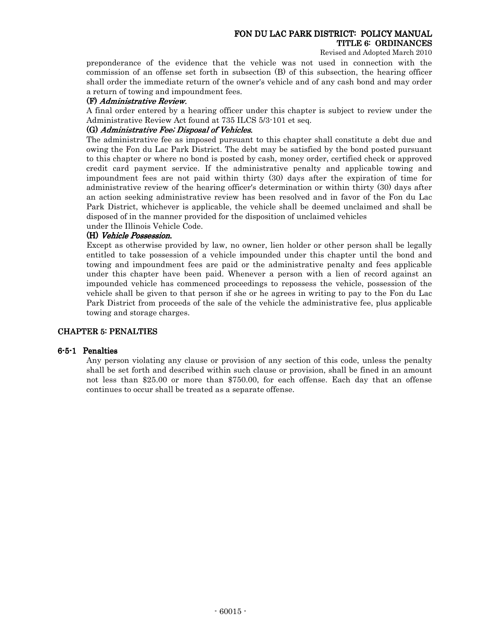Revised and Adopted March 2010

preponderance of the evidence that the vehicle was not used in connection with the commission of an offense set forth in subsection (B) of this subsection, the hearing officer shall order the immediate return of the owner's vehicle and of any cash bond and may order a return of towing and impoundment fees.

### (F) Administrative Review.

A final order entered by a hearing officer under this chapter is subject to review under the Administrative Review Act found at 735 ILCS 5/3-101 et seq.

### (G) Administrative Fee; Disposal of Vehicles.

The administrative fee as imposed pursuant to this chapter shall constitute a debt due and owing the Fon du Lac Park District. The debt may be satisfied by the bond posted pursuant to this chapter or where no bond is posted by cash, money order, certified check or approved credit card payment service. If the administrative penalty and applicable towing and impoundment fees are not paid within thirty (30) days after the expiration of time for administrative review of the hearing officer's determination or within thirty (30) days after an action seeking administrative review has been resolved and in favor of the Fon du Lac Park District, whichever is applicable, the vehicle shall be deemed unclaimed and shall be disposed of in the manner provided for the disposition of unclaimed vehicles

under the Illinois Vehicle Code.

### (H) Vehicle Possession.

Except as otherwise provided by law, no owner, lien holder or other person shall be legally entitled to take possession of a vehicle impounded under this chapter until the bond and towing and impoundment fees are paid or the administrative penalty and fees applicable under this chapter have been paid. Whenever a person with a lien of record against an impounded vehicle has commenced proceedings to repossess the vehicle, possession of the vehicle shall be given to that person if she or he agrees in writing to pay to the Fon du Lac Park District from proceeds of the sale of the vehicle the administrative fee, plus applicable towing and storage charges.

### CHAPTER 5: PENALTIES CHAPTER 5: PENALTIES

#### 6-5-1 Penalties

Any person violating any clause or provision of any section of this code, unless the penalty shall be set forth and described within such clause or provision, shall be fined in an amount not less than \$25.00 or more than \$750.00, for each offense. Each day that an offense continues to occur shall be treated as a separate offense.